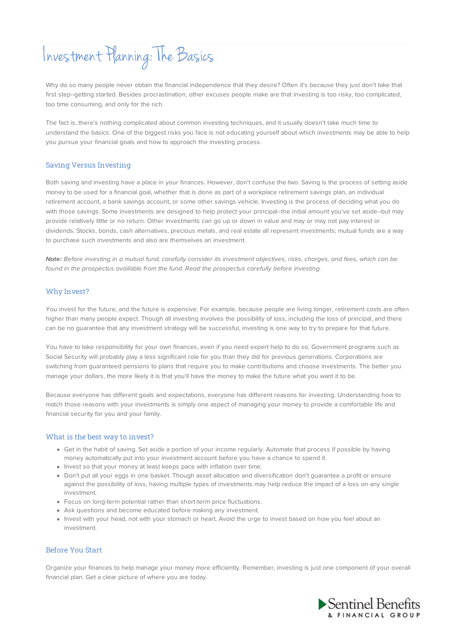# Investment Planning: The Basics

Why do so many people never obtain the financial independence that they desire? Often it's because they just don't take that first step--getting started. Besides procrastination, other excuses people make are that investing is too risky, too complicated, too time consuming, and only for the rich.

The fact is, there's nothing complicated about common investing techniques, and it usually doesn't take much time to understand the basics. One of the biggest risks you face is not educating yourself about which investments may be able to help you pursue your financial goals and how to approach the investing process.

## Saving Versus Investing

Both saving and investing have a place in your finances. However, don't confuse the two. Saving is the process of setting aside money to be used for a financial goal, whether that is done as part of a workplace retirement savings plan, an individual retirement account, a bank savings account, or some other savings vehicle. Investing is the process of deciding what you do with those savings. Some investments are designed to help protect your principal--the initial amount you've set aside--but may provide relatively little or no return. Other investments can go up or down in value and may or may not pay interest or dividends. Stocks, bonds, cash alternatives, precious metals, and real estate all represent investments; mutual funds are a way to purchase such investments and also are themselves an investment.

**Note:** Before investing in a mutual fund, carefully consider its investment objectives, risks, charges, and fees, which can be found in the prospectus available from the fund. Read the prospectus carefully before investing.

## Why Invest?

You invest for the future, and the future is expensive. For example, because people are living longer, retirement costs are often higher than many people expect. Though all investing involves the possibility of loss, including the loss of principal, and there can be no guarantee that any investment strategy will be successful, investing is one way to try to prepare for that future.

You have to take responsibility for your own finances, even if you need expert help to do so. Government programs such as Social Security will probably play a less significant role for you than they did for previous generations. Corporations are switching from guaranteed pensions to plans that require you to make contributions and choose investments. The better you manage your dollars, the more likely it is that you'll have the money to make the future what you want it to be.

Because everyone has different goals and expectations, everyone has different reasons for investing. Understanding how to match those reasons with your investments is simply one aspect of managing your money to provide a comfortable life and financial security for you and your family.

#### What is the best way to invest?

- Get in the habit of saving. Set aside a portion of your income regularly. Automate that process if possible by having money automatically put into your investment account before you have a chance to spend it.
- Invest so that your money at least keeps pace with inflation over time.
- Don't put all your eggs in one basket. Though asset allocation and diversification don't guarantee a profit or ensure against the possibility of loss, having multiple types of investments may help reduce the impact of a loss on any single investment.
- Focus on long-term potential rather than short-term price fluctuations.
- Ask questions and become educated before making any investment.
- Invest with your head, not with your stomach or heart. Avoid the urge to invest based on how you feel about an investment.

## Before You Start

Organize your finances to help manage your money more efficiently. Remember, investing is just one component of your overall financial plan. Get a clear picture of where you are today.